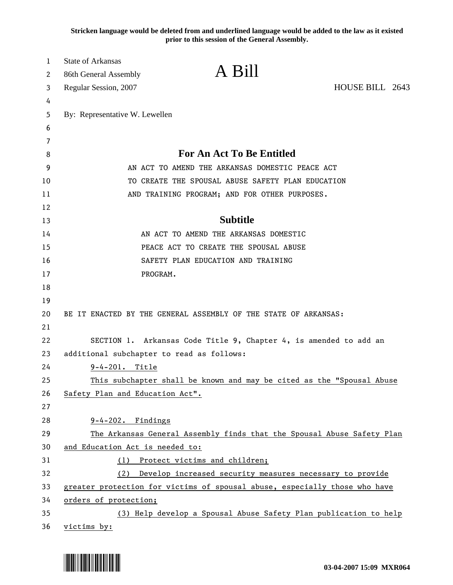**Stricken language would be deleted from and underlined language would be added to the law as it existed prior to this session of the General Assembly.**

| 1<br>2 | <b>State of Arkansas</b>                                                   | A Bill                                                                |                 |
|--------|----------------------------------------------------------------------------|-----------------------------------------------------------------------|-----------------|
|        | 86th General Assembly                                                      |                                                                       | HOUSE BILL 2643 |
| 3      | Regular Session, 2007                                                      |                                                                       |                 |
| 4<br>5 | By: Representative W. Lewellen                                             |                                                                       |                 |
| 6      |                                                                            |                                                                       |                 |
| 7      |                                                                            |                                                                       |                 |
| 8      | <b>For An Act To Be Entitled</b>                                           |                                                                       |                 |
| 9      | AN ACT TO AMEND THE ARKANSAS DOMESTIC PEACE ACT                            |                                                                       |                 |
| 10     | TO CREATE THE SPOUSAL ABUSE SAFETY PLAN EDUCATION                          |                                                                       |                 |
| 11     | AND TRAINING PROGRAM; AND FOR OTHER PURPOSES.                              |                                                                       |                 |
| 12     |                                                                            |                                                                       |                 |
| 13     |                                                                            | <b>Subtitle</b>                                                       |                 |
| 14     |                                                                            | AN ACT TO AMEND THE ARKANSAS DOMESTIC                                 |                 |
| 15     | PEACE ACT TO CREATE THE SPOUSAL ABUSE                                      |                                                                       |                 |
| 16     | SAFETY PLAN EDUCATION AND TRAINING                                         |                                                                       |                 |
| 17     | PROGRAM.                                                                   |                                                                       |                 |
| 18     |                                                                            |                                                                       |                 |
| 19     |                                                                            |                                                                       |                 |
| 20     |                                                                            | BE IT ENACTED BY THE GENERAL ASSEMBLY OF THE STATE OF ARKANSAS:       |                 |
| 21     |                                                                            |                                                                       |                 |
| 22     |                                                                            | SECTION 1. Arkansas Code Title 9, Chapter 4, is amended to add an     |                 |
| 23     | additional subchapter to read as follows:                                  |                                                                       |                 |
| 24     | $9 - 4 - 201$ .<br>Title                                                   |                                                                       |                 |
| 25     |                                                                            | This subchapter shall be known and may be cited as the "Spousal Abuse |                 |
| 26     | Safety Plan and Education Act".                                            |                                                                       |                 |
| 27     |                                                                            |                                                                       |                 |
| 28     | $9-4-202$ . Findings                                                       |                                                                       |                 |
| 29     | The Arkansas General Assembly finds that the Spousal Abuse Safety Plan     |                                                                       |                 |
| 30     | and Education Act is needed to:                                            |                                                                       |                 |
| 31     | (1)                                                                        | Protect victims and children;                                         |                 |
| 32     | (2)                                                                        | Develop increased security measures necessary to provide              |                 |
| 33     | greater protection for victims of spousal abuse, especially those who have |                                                                       |                 |
| 34     | orders of protection;                                                      |                                                                       |                 |
| 35     |                                                                            | (3) Help develop a Spousal Abuse Safety Plan publication to help      |                 |
| 36     | victims by:                                                                |                                                                       |                 |